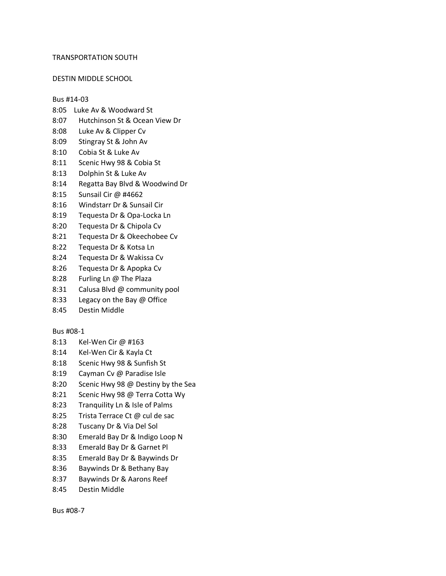#### TRANSPORTATION SOUTH

#### DESTIN MIDDLE SCHOOL

#### Bus #14-03

- 8:05 Luke Av & Woodward St
- 8:07 Hutchinson St & Ocean View Dr
- 8:08 Luke Av & Clipper Cv
- 8:09 Stingray St & John Av
- 8:10 Cobia St & Luke Av
- 8:11 Scenic Hwy 98 & Cobia St
- 8:13 Dolphin St & Luke Av
- 8:14 Regatta Bay Blvd & Woodwind Dr
- 8:15 Sunsail Cir @ #4662
- 8:16 Windstarr Dr & Sunsail Cir
- 8:19 Tequesta Dr & Opa-Locka Ln
- 8:20 Tequesta Dr & Chipola Cv
- 8:21 Tequesta Dr & Okeechobee Cv
- 8:22 Tequesta Dr & Kotsa Ln
- 8:24 Tequesta Dr & Wakissa Cv
- 8:26 Tequesta Dr & Apopka Cv
- 8:28 Furling Ln @ The Plaza
- 8:31 Calusa Blvd @ community pool
- 8:33 Legacy on the Bay @ Office
- 8:45 Destin Middle

# Bus #08-1

- 8:13 Kel-Wen Cir @ #163
- 8:14 Kel-Wen Cir & Kayla Ct
- 8:18 Scenic Hwy 98 & Sunfish St
- 8:19 Cayman Cv @ Paradise Isle
- 8:20 Scenic Hwy 98 @ Destiny by the Sea
- 8:21 Scenic Hwy 98 @ Terra Cotta Wy
- 8:23 Tranquility Ln & Isle of Palms
- 8:25 Trista Terrace Ct @ cul de sac
- 8:28 Tuscany Dr & Via Del Sol
- 8:30 Emerald Bay Dr & Indigo Loop N
- 8:33 Emerald Bay Dr & Garnet Pl
- 8:35 Emerald Bay Dr & Baywinds Dr
- 8:36 Baywinds Dr & Bethany Bay
- 8:37 Baywinds Dr & Aarons Reef
- 8:45 Destin Middle

Bus #08-7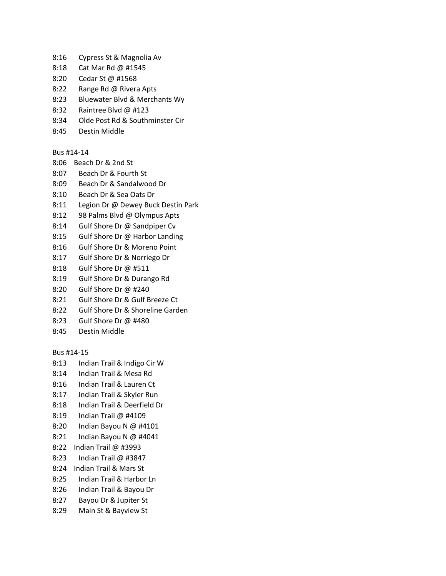- 8:16 Cypress St & Magnolia Av
- 8:18 Cat Mar Rd @ #1545
- 8:20 Cedar St @ #1568
- 8:22 Range Rd @ Rivera Apts
- 8:23 Bluewater Blvd & Merchants Wy
- 8:32 Raintree Blvd @ #123
- 8:34 Olde Post Rd & Southminster Cir
- 8:45 Destin Middle

#### Bus #14-14

- 8:06 Beach Dr & 2nd St
- 8:07 Beach Dr & Fourth St
- 8:09 Beach Dr & Sandalwood Dr
- 8:10 Beach Dr & Sea Oats Dr
- 8:11 Legion Dr @ Dewey Buck Destin Park
- 8:12 98 Palms Blvd @ Olympus Apts
- 8:14 Gulf Shore Dr @ Sandpiper Cv
- 8:15 Gulf Shore Dr @ Harbor Landing
- 8:16 Gulf Shore Dr & Moreno Point
- 8:17 Gulf Shore Dr & Norriego Dr
- 8:18 Gulf Shore Dr @ #511
- 8:19 Gulf Shore Dr & Durango Rd
- 8:20 Gulf Shore Dr @ #240
- 8:21 Gulf Shore Dr & Gulf Breeze Ct
- 8:22 Gulf Shore Dr & Shoreline Garden
- 8:23 Gulf Shore Dr @ #480
- 8:45 Destin Middle

Bus #14-15

- 8:13 Indian Trail & Indigo Cir W
- 8:14 Indian Trail & Mesa Rd
- 8:16 Indian Trail & Lauren Ct
- 8:17 Indian Trail & Skyler Run
- 8:18 Indian Trail & Deerfield Dr
- 8:19 Indian Trail @ #4109
- 8:20 Indian Bayou N @ #4101
- 8:21 Indian Bayou N @ #4041
- 8:22 Indian Trail @ #3993
- 8:23 Indian Trail @ #3847
- 8:24 Indian Trail & Mars St
- 8:25 Indian Trail & Harbor Ln
- 8:26 Indian Trail & Bayou Dr
- 8:27 Bayou Dr & Jupiter St
- 8:29 Main St & Bayview St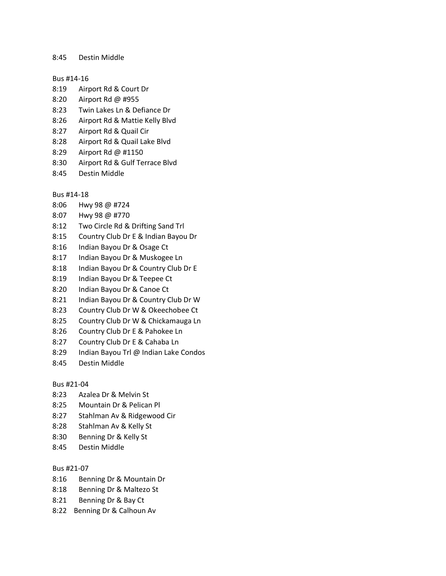8:45 Destin Middle

#### Bus #14-16

- 8:19 Airport Rd & Court Dr
- 8:20 Airport Rd @ #955
- 8:23 Twin Lakes Ln & Defiance Dr
- 8:26 Airport Rd & Mattie Kelly Blvd
- 8:27 Airport Rd & Quail Cir
- 8:28 Airport Rd & Quail Lake Blvd
- 8:29 Airport Rd @ #1150
- 8:30 Airport Rd & Gulf Terrace Blvd
- 8:45 Destin Middle

# Bus #14-18

- 8:06 Hwy 98 @ #724
- 8:07 Hwy 98 @ #770
- 8:12 Two Circle Rd & Drifting Sand Trl
- 8:15 Country Club Dr E & Indian Bayou Dr
- 8:16 Indian Bayou Dr & Osage Ct
- 8:17 Indian Bayou Dr & Muskogee Ln
- 8:18 Indian Bayou Dr & Country Club Dr E
- 8:19 Indian Bayou Dr & Teepee Ct
- 8:20 Indian Bayou Dr & Canoe Ct
- 8:21 Indian Bayou Dr & Country Club Dr W
- 8:23 Country Club Dr W & Okeechobee Ct
- 8:25 Country Club Dr W & Chickamauga Ln
- 8:26 Country Club Dr E & Pahokee Ln
- 8:27 Country Club Dr E & Cahaba Ln
- 8:29 Indian Bayou Trl @ Indian Lake Condos
- 8:45 Destin Middle

# Bus #21-04

- 8:23 Azalea Dr & Melvin St
- 8:25 Mountain Dr & Pelican Pl
- 8:27 Stahlman Av & Ridgewood Cir
- 8:28 Stahlman Av & Kelly St
- 8:30 Benning Dr & Kelly St
- 8:45 Destin Middle

# Bus #21-07

- 8:16 Benning Dr & Mountain Dr
- 8:18 Benning Dr & Maltezo St
- 8:21 Benning Dr & Bay Ct
- 8:22 Benning Dr & Calhoun Av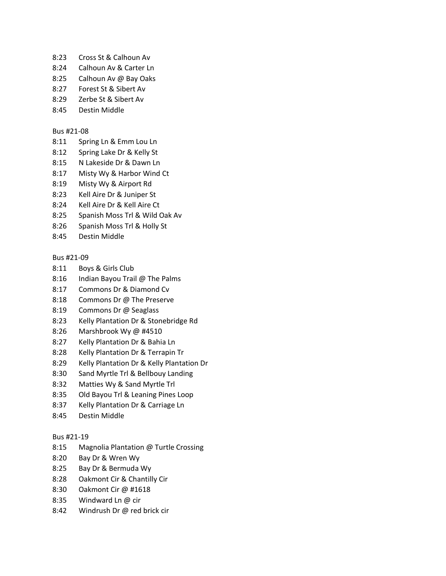- 8:23 Cross St & Calhoun Av
- 8:24 Calhoun Av & Carter Ln
- 8:25 Calhoun Av @ Bay Oaks
- 8:27 Forest St & Sibert Av
- 8:29 Zerbe St & Sibert Av
- 8:45 Destin Middle

# Bus #21-08

- 8:11 Spring Ln & Emm Lou Ln
- 8:12 Spring Lake Dr & Kelly St
- 8:15 N Lakeside Dr & Dawn Ln
- 8:17 Misty Wy & Harbor Wind Ct
- 8:19 Misty Wy & Airport Rd
- 8:23 Kell Aire Dr & Juniper St
- 8:24 Kell Aire Dr & Kell Aire Ct
- 8:25 Spanish Moss Trl & Wild Oak Av
- 8:26 Spanish Moss Trl & Holly St
- 8:45 Destin Middle

# Bus #21-09

- 8:11 Boys & Girls Club
- 8:16 Indian Bayou Trail @ The Palms
- 8:17 Commons Dr & Diamond Cv
- 8:18 Commons Dr @ The Preserve
- 8:19 Commons Dr @ Seaglass
- 8:23 Kelly Plantation Dr & Stonebridge Rd
- 8:26 Marshbrook Wy @ #4510
- 8:27 Kelly Plantation Dr & Bahia Ln
- 8:28 Kelly Plantation Dr & Terrapin Tr
- 8:29 Kelly Plantation Dr & Kelly Plantation Dr
- 8:30 Sand Myrtle Trl & Bellbouy Landing
- 8:32 Matties Wy & Sand Myrtle Trl
- 8:35 Old Bayou Trl & Leaning Pines Loop
- 8:37 Kelly Plantation Dr & Carriage Ln
- 8:45 Destin Middle

# Bus #21-19

- 8:15 Magnolia Plantation @ Turtle Crossing
- 8:20 Bay Dr & Wren Wy
- 8:25 Bay Dr & Bermuda Wy
- 8:28 Oakmont Cir & Chantilly Cir
- 8:30 Oakmont Cir @ #1618
- 8:35 Windward Ln @ cir
- 8:42 Windrush Dr @ red brick cir